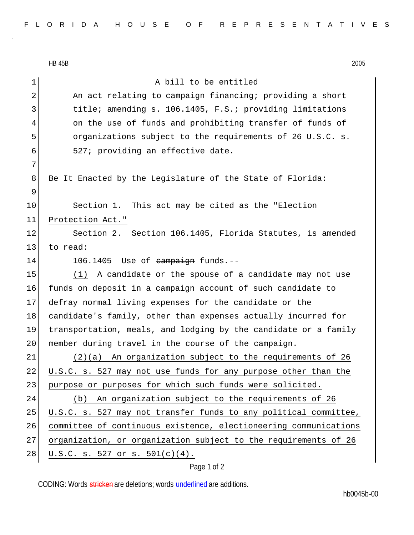|             | 2005<br><b>HB 45B</b>                                            |  |  |  |  |  |  |  |
|-------------|------------------------------------------------------------------|--|--|--|--|--|--|--|
| 1           | A bill to be entitled                                            |  |  |  |  |  |  |  |
| 2           | An act relating to campaign financing; providing a short         |  |  |  |  |  |  |  |
| 3           | title; amending s. 106.1405, F.S.; providing limitations         |  |  |  |  |  |  |  |
| 4           | on the use of funds and prohibiting transfer of funds of         |  |  |  |  |  |  |  |
| 5           | organizations subject to the requirements of 26 U.S.C. s.        |  |  |  |  |  |  |  |
| 6           | 527; providing an effective date.                                |  |  |  |  |  |  |  |
| 7           |                                                                  |  |  |  |  |  |  |  |
| 8           | Be It Enacted by the Legislature of the State of Florida:        |  |  |  |  |  |  |  |
| 9           |                                                                  |  |  |  |  |  |  |  |
| 10          | Section 1. This act may be cited as the "Election                |  |  |  |  |  |  |  |
| 11          | Protection Act."                                                 |  |  |  |  |  |  |  |
| 12          | Section 2. Section 106.1405, Florida Statutes, is amended        |  |  |  |  |  |  |  |
| 13          | to read:                                                         |  |  |  |  |  |  |  |
| 14          | Use of <del>campaign</del> funds.--<br>106.1405                  |  |  |  |  |  |  |  |
| 15          | A candidate or the spouse of a candidate may not use<br>(1)      |  |  |  |  |  |  |  |
| 16          | funds on deposit in a campaign account of such candidate to      |  |  |  |  |  |  |  |
| 17          | defray normal living expenses for the candidate or the           |  |  |  |  |  |  |  |
| 18          | candidate's family, other than expenses actually incurred for    |  |  |  |  |  |  |  |
| 19          | transportation, meals, and lodging by the candidate or a family  |  |  |  |  |  |  |  |
| 20          | member during travel in the course of the campaign.              |  |  |  |  |  |  |  |
| 21          | An organization subject to the requirements of 26<br>(2)(a)      |  |  |  |  |  |  |  |
| 22          | U.S.C. s. 527 may not use funds for any purpose other than the   |  |  |  |  |  |  |  |
| 23          | purpose or purposes for which such funds were solicited.         |  |  |  |  |  |  |  |
| 24          | An organization subject to the requirements of 26<br>(b)         |  |  |  |  |  |  |  |
| 25          | U.S.C. s. 527 may not transfer funds to any political committee, |  |  |  |  |  |  |  |
| 26          | committee of continuous existence, electioneering communications |  |  |  |  |  |  |  |
| 27          | organization, or organization subject to the requirements of 26  |  |  |  |  |  |  |  |
| 28          | U.S.C. s. 527 or s. $501(c)(4)$ .                                |  |  |  |  |  |  |  |
| Page 1 of 2 |                                                                  |  |  |  |  |  |  |  |

CODING: Words stricken are deletions; words underlined are additions.